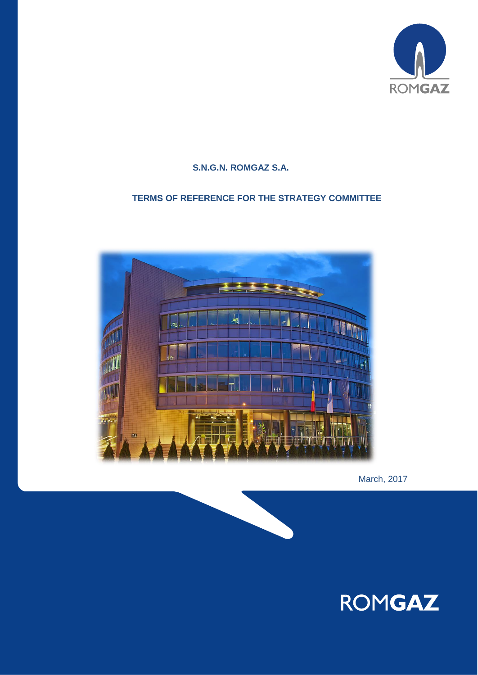

# **S.N.G.N. ROMGAZ S.A.**

# **TERMS OF REFERENCE FOR THE STRATEGY COMMITTEE**



March, 2017

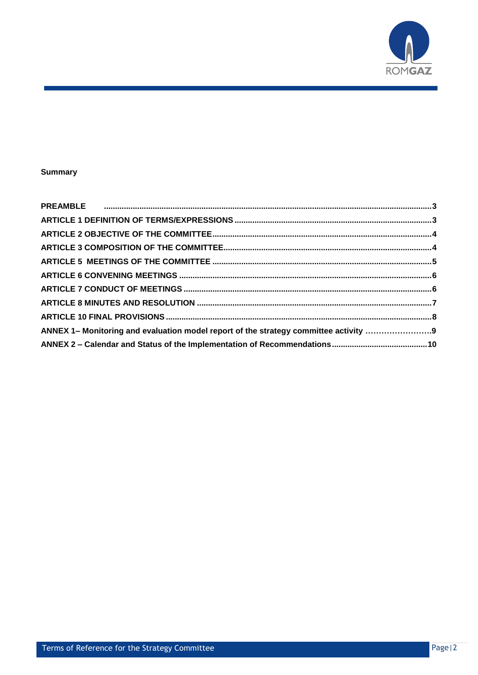

# **Summary**

| ANNEX 1- Monitoring and evaluation model report of the strategy committee activity 9 |  |
|--------------------------------------------------------------------------------------|--|
|                                                                                      |  |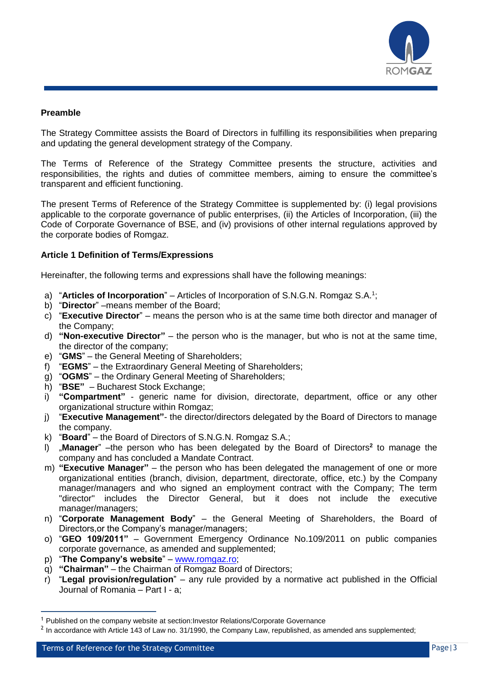

## <span id="page-2-0"></span>**Preamble**

The Strategy Committee assists the Board of Directors in fulfilling its responsibilities when preparing and updating the general development strategy of the Company.

The Terms of Reference of the Strategy Committee presents the structure, activities and responsibilities, the rights and duties of committee members, aiming to ensure the committee's transparent and efficient functioning.

The present Terms of Reference of the Strategy Committee is supplemented by: (i) legal provisions applicable to the corporate governance of public enterprises, (ii) the Articles of Incorporation, (iii) the Code of Corporate Governance of BSE, and (iv) provisions of other internal regulations approved by the corporate bodies of Romgaz.

## <span id="page-2-1"></span>**Article 1 Definition of Terms/Expressions**

Hereinafter, the following terms and expressions shall have the following meanings:

- a) "Articles of Incorporation" Articles of Incorporation of S.N.G.N. Romgaz S.A.<sup>1</sup>;
- b) "**Director**" –means member of the Board;
- c) "**Executive Director**" means the person who is at the same time both director and manager of the Company;
- d) **"Non-executive Director"**  the person who is the manager, but who is not at the same time, the director of the company;
- e) "**GMS**" the General Meeting of Shareholders;
- f) "**EGMS**" the Extraordinary General Meeting of Shareholders;
- g) "**OGMS**" the Ordinary General Meeting of Shareholders;
- h) "**BSE"** Bucharest Stock Exchange;
- i) **"Compartment"** generic name for division, directorate, department, office or any other organizational structure within Romgaz;
- j) "**Executive Management"** the director/directors delegated by the Board of Directors to manage the company.
- k) "**Board**" the Board of Directors of S.N.G.N. Romgaz S.A.;
- l) "**Manager**" –the person who has been delegated by the Board of Directors**<sup>2</sup>** to manage the company and has concluded a Mandate Contract.
- m) **"Executive Manager"** the person who has been delegated the management of one or more organizational entities (branch, division, department, directorate, office, etc.) by the Company manager/managers and who signed an employment contract with the Company; The term "director" includes the Director General, but it does not include the executive manager/managers;
- n) "**Corporate Management Body**" the General Meeting of Shareholders, the Board of Directors,or the Company's manager/managers;
- o) "**GEO 109/2011"** Government Emergency Ordinance No.109/2011 on public companies corporate governance, as amended and supplemented;
- p) "**The Company's website**" [www.romgaz.ro;](http://www.romgaz.ro/)
- q) **"Chairman"** the Chairman of Romgaz Board of Directors;
- r) "**Legal provision/regulation**" any rule provided by a normative act published in the Official Journal of Romania – Part I - a;

 $\overline{a}$ 

<sup>1</sup> Published on the company website at section:Investor Relations/Corporate Governance

 $^2$  In accordance with Article 143 of Law no. 31/1990, the Company Law, republished, as amended ans supplemented;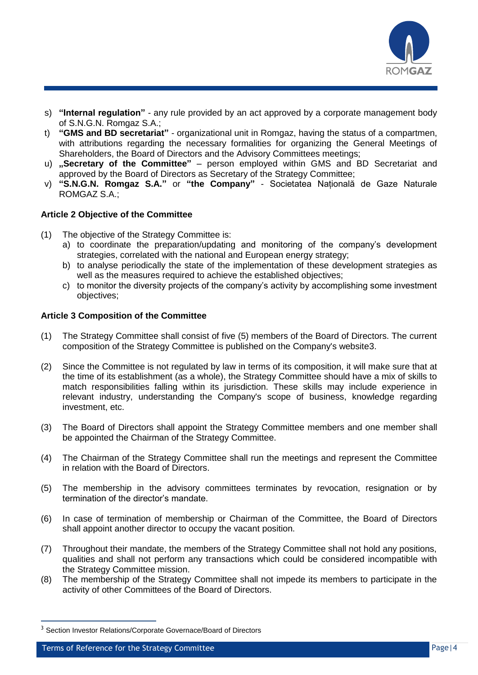

- s) **"Internal regulation"** any rule provided by an act approved by a corporate management body of S.N.G.N. Romgaz S.A.;
- t) **"GMS and BD secretariat"** organizational unit in Romgaz, having the status of a compartmen, with attributions regarding the necessary formalities for organizing the General Meetings of Shareholders, the Board of Directors and the Advisory Committees meetings;
- u) **"Secretary of the Committee"** person employed within GMS and BD Secretariat and approved by the Board of Directors as Secretary of the Strategy Committee;
- v) **"S.N.G.N. Romgaz S.A."** or **"the Company"** Societatea Națională de Gaze Naturale ROMGAZ S.A.;

# <span id="page-3-0"></span>**Article 2 Objective of the Committee**

- (1) The objective of the Strategy Committee is:
	- a) to coordinate the preparation/updating and monitoring of the company's development strategies, correlated with the national and European energy strategy;
	- b) to analyse periodically the state of the implementation of these development strategies as well as the measures required to achieve the established objectives;
	- c) to monitor the diversity projects of the company's activity by accomplishing some investment objectives;

## <span id="page-3-1"></span>**Article 3 Composition of the Committee**

- (1) The Strategy Committee shall consist of five (5) members of the Board of Directors. The current composition of the Strategy Committee is published on the Company's website3.
- (2) Since the Committee is not regulated by law in terms of its composition, it will make sure that at the time of its establishment (as a whole), the Strategy Committee should have a mix of skills to match responsibilities falling within its jurisdiction. These skills may include experience in relevant industry, understanding the Company's scope of business, knowledge regarding investment, etc.
- (3) The Board of Directors shall appoint the Strategy Committee members and one member shall be appointed the Chairman of the Strategy Committee.
- (4) The Chairman of the Strategy Committee shall run the meetings and represent the Committee in relation with the Board of Directors.
- (5) The membership in the advisory committees terminates by revocation, resignation or by termination of the director's mandate.
- (6) In case of termination of membership or Chairman of the Committee, the Board of Directors shall appoint another director to occupy the vacant position.
- (7) Throughout their mandate, the members of the Strategy Committee shall not hold any positions, qualities and shall not perform any transactions which could be considered incompatible with the Strategy Committee mission.
- (8) The membership of the Strategy Committee shall not impede its members to participate in the activity of other Committees of the Board of Directors.

 $\overline{a}$ 

<sup>&</sup>lt;sup>3</sup> Section Investor Relations/Corporate Governace/Board of Directors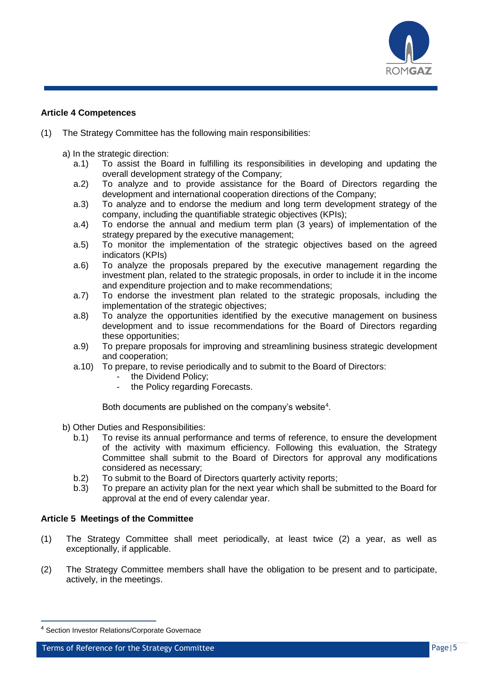

## **Article 4 Competences**

- (1) The Strategy Committee has the following main responsibilities:
	- a) In the strategic direction:
		- a.1) To assist the Board in fulfilling its responsibilities in developing and updating the overall development strategy of the Company;
		- a.2) To analyze and to provide assistance for the Board of Directors regarding the development and international cooperation directions of the Company;
		- a.3) To analyze and to endorse the medium and long term development strategy of the company, including the quantifiable strategic objectives (KPIs);
		- a.4) To endorse the annual and medium term plan (3 years) of implementation of the strategy prepared by the executive management;
		- a.5) To monitor the implementation of the strategic objectives based on the agreed indicators (KPIs)
		- a.6) To analyze the proposals prepared by the executive management regarding the investment plan, related to the strategic proposals, in order to include it in the income and expenditure projection and to make recommendations;
		- a.7) To endorse the investment plan related to the strategic proposals, including the implementation of the strategic objectives;
		- a.8) To analyze the opportunities identified by the executive management on business development and to issue recommendations for the Board of Directors regarding these opportunities;
		- a.9) To prepare proposals for improving and streamlining business strategic development and cooperation;
		- a.10) To prepare, to revise periodically and to submit to the Board of Directors:
			- the Dividend Policy;
			- the Policy regarding Forecasts.

Both documents are published on the company's website $4$ .

- b) Other Duties and Responsibilities:
	- b.1) To revise its annual performance and terms of reference, to ensure the development of the activity with maximum efficiency. Following this evaluation, the Strategy Committee shall submit to the Board of Directors for approval any modifications considered as necessary;
	- b.2) To submit to the Board of Directors quarterly activity reports;
	- b.3) To prepare an activity plan for the next year which shall be submitted to the Board for approval at the end of every calendar year.

## <span id="page-4-0"></span>**Article 5 Meetings of the Committee**

- (1) The Strategy Committee shall meet periodically, at least twice (2) a year, as well as exceptionally, if applicable.
- (2) The Strategy Committee members shall have the obligation to be present and to participate, actively, in the meetings.

 $\overline{a}$ 

<sup>4</sup> Section Investor Relations/Corporate Governace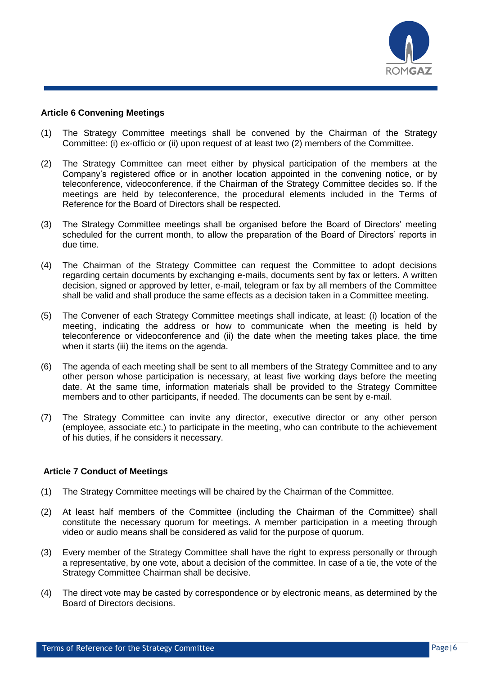

### <span id="page-5-0"></span>**Article 6 Convening Meetings**

- (1) The Strategy Committee meetings shall be convened by the Chairman of the Strategy Committee: (i) ex-officio or (ii) upon request of at least two (2) members of the Committee.
- (2) The Strategy Committee can meet either by physical participation of the members at the Company's registered office or in another location appointed in the convening notice, or by teleconference, videoconference, if the Chairman of the Strategy Committee decides so. If the meetings are held by teleconference, the procedural elements included in the Terms of Reference for the Board of Directors shall be respected.
- (3) The Strategy Committee meetings shall be organised before the Board of Directors' meeting scheduled for the current month, to allow the preparation of the Board of Directors' reports in due time.
- (4) The Chairman of the Strategy Committee can request the Committee to adopt decisions regarding certain documents by exchanging e-mails, documents sent by fax or letters. A written decision, signed or approved by letter, e-mail, telegram or fax by all members of the Committee shall be valid and shall produce the same effects as a decision taken in a Committee meeting.
- (5) The Convener of each Strategy Committee meetings shall indicate, at least: (i) location of the meeting, indicating the address or how to communicate when the meeting is held by teleconference or videoconference and (ii) the date when the meeting takes place, the time when it starts (iii) the items on the agenda.
- (6) The agenda of each meeting shall be sent to all members of the Strategy Committee and to any other person whose participation is necessary, at least five working days before the meeting date. At the same time, information materials shall be provided to the Strategy Committee members and to other participants, if needed. The documents can be sent by e-mail.
- (7) The Strategy Committee can invite any director, executive director or any other person (employee, associate etc.) to participate in the meeting, who can contribute to the achievement of his duties, if he considers it necessary.

## <span id="page-5-1"></span>**Article 7 Conduct of Meetings**

- (1) The Strategy Committee meetings will be chaired by the Chairman of the Committee.
- (2) At least half members of the Committee (including the Chairman of the Committee) shall constitute the necessary quorum for meetings. A member participation in a meeting through video or audio means shall be considered as valid for the purpose of quorum.
- (3) Every member of the Strategy Committee shall have the right to express personally or through a representative, by one vote, about a decision of the committee. In case of a tie, the vote of the Strategy Committee Chairman shall be decisive.
- (4) The direct vote may be casted by correspondence or by electronic means, as determined by the Board of Directors decisions.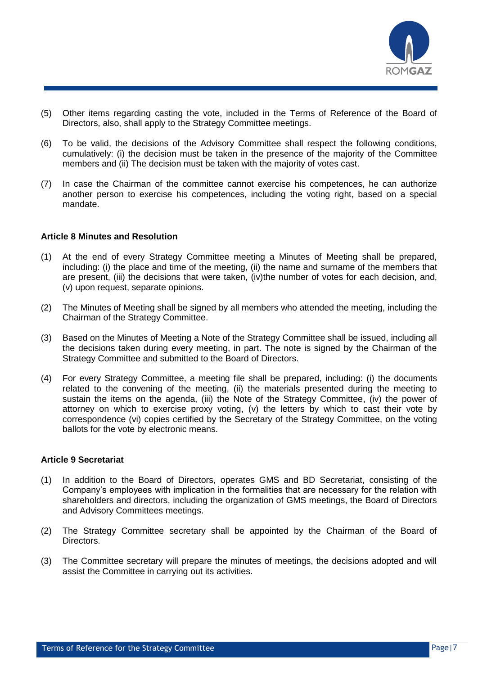

- (5) Other items regarding casting the vote, included in the Terms of Reference of the Board of Directors, also, shall apply to the Strategy Committee meetings.
- (6) To be valid, the decisions of the Advisory Committee shall respect the following conditions, cumulatively: (i) the decision must be taken in the presence of the majority of the Committee members and (ii) The decision must be taken with the majority of votes cast.
- (7) In case the Chairman of the committee cannot exercise his competences, he can authorize another person to exercise his competences, including the voting right, based on a special mandate.

## <span id="page-6-0"></span>**Article 8 Minutes and Resolution**

- (1) At the end of every Strategy Committee meeting a Minutes of Meeting shall be prepared, including: (i) the place and time of the meeting, (ii) the name and surname of the members that are present, (iii) the decisions that were taken, (iv)the number of votes for each decision, and, (v) upon request, separate opinions.
- (2) The Minutes of Meeting shall be signed by all members who attended the meeting, including the Chairman of the Strategy Committee.
- (3) Based on the Minutes of Meeting a Note of the Strategy Committee shall be issued, including all the decisions taken during every meeting, in part. The note is signed by the Chairman of the Strategy Committee and submitted to the Board of Directors.
- (4) For every Strategy Committee, a meeting file shall be prepared, including: (i) the documents related to the convening of the meeting, (ii) the materials presented during the meeting to sustain the items on the agenda, (iii) the Note of the Strategy Committee, (iv) the power of attorney on which to exercise proxy voting, (v) the letters by which to cast their vote by correspondence (vi) copies certified by the Secretary of the Strategy Committee, on the voting ballots for the vote by electronic means.

### **Article 9 Secretariat**

- (1) In addition to the Board of Directors, operates GMS and BD Secretariat, consisting of the Company's employees with implication in the formalities that are necessary for the relation with shareholders and directors, including the organization of GMS meetings, the Board of Directors and Advisory Committees meetings.
- (2) The Strategy Committee secretary shall be appointed by the Chairman of the Board of Directors.
- (3) The Committee secretary will prepare the minutes of meetings, the decisions adopted and will assist the Committee in carrying out its activities.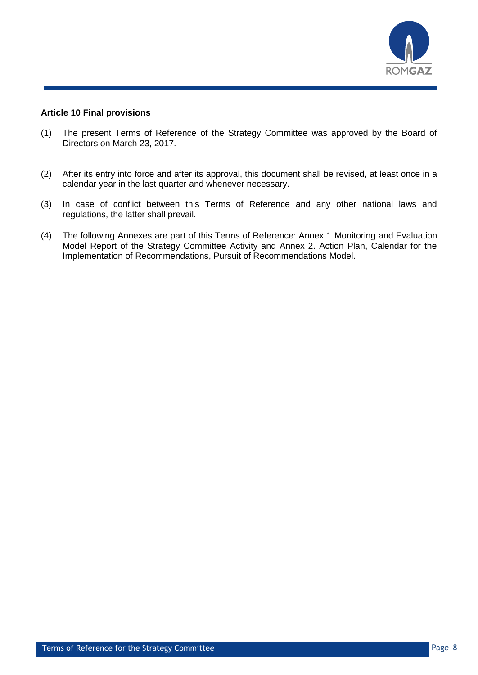

### <span id="page-7-0"></span>**Article 10 Final provisions**

- (1) The present Terms of Reference of the Strategy Committee was approved by the Board of Directors on March 23, 2017.
- (2) After its entry into force and after its approval, this document shall be revised, at least once in a calendar year in the last quarter and whenever necessary.
- (3) In case of conflict between this Terms of Reference and any other national laws and regulations, the latter shall prevail.
- (4) The following Annexes are part of this Terms of Reference: Annex 1 Monitoring and Evaluation Model Report of the Strategy Committee Activity and Annex 2. Action Plan, Calendar for the Implementation of Recommendations, Pursuit of Recommendations Model.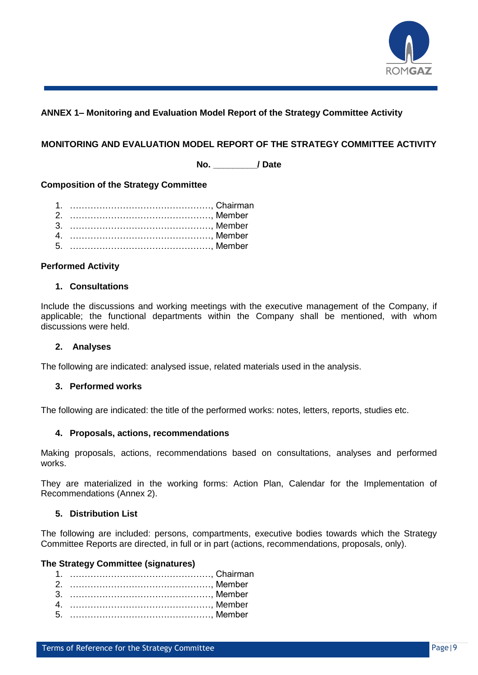

# <span id="page-8-0"></span>**ANNEX 1– Monitoring and Evaluation Model Report of the Strategy Committee Activity**

## **MONITORING AND EVALUATION MODEL REPORT OF THE STRATEGY COMMITTEE ACTIVITY**

**No. \_\_\_\_\_\_\_\_\_/ Date**

## **Composition of the Strategy Committee**

### **Performed Activity**

## **1. Consultations**

Include the discussions and working meetings with the executive management of the Company, if applicable; the functional departments within the Company shall be mentioned, with whom discussions were held.

### **2. Analyses**

The following are indicated: analysed issue, related materials used in the analysis.

### **3. Performed works**

The following are indicated: the title of the performed works: notes, letters, reports, studies etc.

### **4. Proposals, actions, recommendations**

Making proposals, actions, recommendations based on consultations, analyses and performed works.

They are materialized in the working forms: Action Plan, Calendar for the Implementation of Recommendations (Annex 2).

## **5. Distribution List**

The following are included: persons, compartments, executive bodies towards which the Strategy Committee Reports are directed, in full or in part (actions, recommendations, proposals, only).

#### **The Strategy Committee (signatures)**